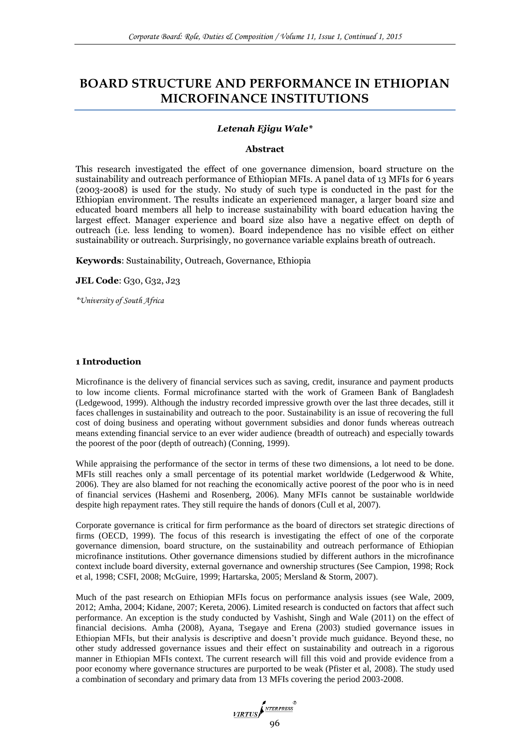# **BOARD STRUCTURE AND PERFORMANCE IN ETHIOPIAN MICROFINANCE INSTITUTIONS**

# *Letenah Ejigu Wale\**

#### **Abstract**

This research investigated the effect of one governance dimension, board structure on the sustainability and outreach performance of Ethiopian MFIs. A panel data of 13 MFIs for 6 years (2003-2008) is used for the study. No study of such type is conducted in the past for the Ethiopian environment. The results indicate an experienced manager, a larger board size and educated board members all help to increase sustainability with board education having the largest effect. Manager experience and board size also have a negative effect on depth of outreach (i.e. less lending to women). Board independence has no visible effect on either sustainability or outreach. Surprisingly, no governance variable explains breath of outreach.

**Keywords**: Sustainability, Outreach, Governance, Ethiopia

**JEL Code**: G30, G32, J23

*\*University of South Africa*

#### **1 Introduction**

Microfinance is the delivery of financial services such as saving, credit, insurance and payment products to low income clients. Formal microfinance started with the work of Grameen Bank of Bangladesh (Ledgewood, 1999). Although the industry recorded impressive growth over the last three decades, still it faces challenges in sustainability and outreach to the poor. Sustainability is an issue of recovering the full cost of doing business and operating without government subsidies and donor funds whereas outreach means extending financial service to an ever wider audience (breadth of outreach) and especially towards the poorest of the poor (depth of outreach) (Conning, 1999).

While appraising the performance of the sector in terms of these two dimensions, a lot need to be done. MFIs still reaches only a small percentage of its potential market worldwide (Ledgerwood & White, 2006). They are also blamed for not reaching the economically active poorest of the poor who is in need of financial services (Hashemi and Rosenberg, 2006). Many MFIs cannot be sustainable worldwide despite high repayment rates. They still require the hands of donors (Cull et al, 2007).

Corporate governance is critical for firm performance as the board of directors set strategic directions of firms (OECD, 1999). The focus of this research is investigating the effect of one of the corporate governance dimension, board structure, on the sustainability and outreach performance of Ethiopian microfinance institutions. Other governance dimensions studied by different authors in the microfinance context include board diversity, external governance and ownership structures (See Campion, 1998; Rock et al, 1998; CSFI, 2008; McGuire, 1999; Hartarska, 2005; Mersland & Storm, 2007).

Much of the past research on Ethiopian MFIs focus on performance analysis issues (see Wale, 2009, 2012; Amha, 2004; Kidane, 2007; Kereta, 2006). Limited research is conducted on factors that affect such performance. An exception is the study conducted by Vashisht, Singh and Wale (2011) on the effect of financial decisions. Amha (2008), Ayana, Tsegaye and Erena (2003) studied governance issues in Ethiopian MFIs, but their analysis is descriptive and doesn't provide much guidance. Beyond these, no other study addressed governance issues and their effect on sustainability and outreach in a rigorous manner in Ethiopian MFIs context. The current research will fill this void and provide evidence from a poor economy where governance structures are purported to be weak (Pfister et al, 2008). The study used a combination of secondary and primary data from 13 MFIs covering the period 2003-2008.

VIRTUS 196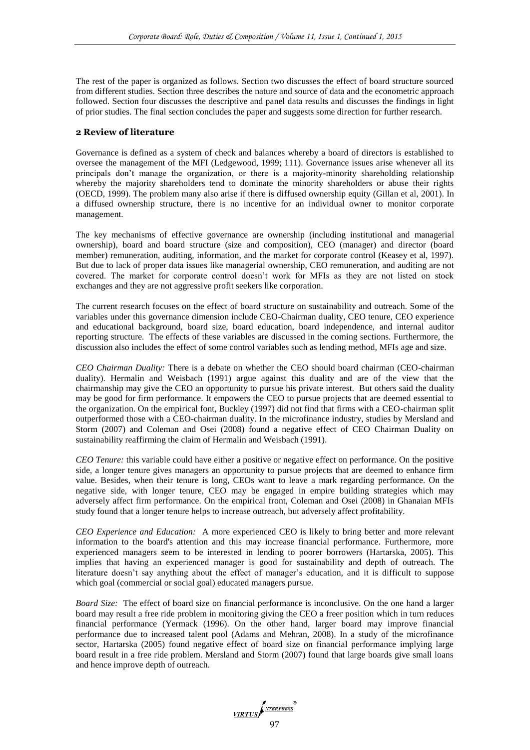The rest of the paper is organized as follows. Section two discusses the effect of board structure sourced from different studies. Section three describes the nature and source of data and the econometric approach followed. Section four discusses the descriptive and panel data results and discusses the findings in light of prior studies. The final section concludes the paper and suggests some direction for further research.

# **2 Review of literature**

Governance is defined as a system of check and balances whereby a board of directors is established to oversee the management of the MFI (Ledgewood, 1999; 111). Governance issues arise whenever all its principals don't manage the organization, or there is a majority-minority shareholding relationship whereby the majority shareholders tend to dominate the minority shareholders or abuse their rights (OECD, 1999). The problem many also arise if there is diffused ownership equity (Gillan et al, 2001). In a diffused ownership structure, there is no incentive for an individual owner to monitor corporate management.

The key mechanisms of effective governance are ownership (including institutional and managerial ownership), board and board structure (size and composition), CEO (manager) and director (board member) remuneration, auditing, information, and the market for corporate control (Keasey et al, 1997). But due to lack of proper data issues like managerial ownership, CEO remuneration, and auditing are not covered. The market for corporate control doesn't work for MFIs as they are not listed on stock exchanges and they are not aggressive profit seekers like corporation.

The current research focuses on the effect of board structure on sustainability and outreach. Some of the variables under this governance dimension include CEO-Chairman duality, CEO tenure, CEO experience and educational background, board size, board education, board independence, and internal auditor reporting structure. The effects of these variables are discussed in the coming sections. Furthermore, the discussion also includes the effect of some control variables such as lending method, MFIs age and size.

*CEO Chairman Duality:* There is a debate on whether the CEO should board chairman (CEO-chairman duality). Hermalin and Weisbach (1991) argue against this duality and are of the view that the chairmanship may give the CEO an opportunity to pursue his private interest. But others said the duality may be good for firm performance. It empowers the CEO to pursue projects that are deemed essential to the organization. On the empirical font, Buckley (1997) did not find that firms with a CEO-chairman split outperformed those with a CEO-chairman duality. In the microfinance industry, studies by Mersland and Storm (2007) and Coleman and Osei (2008) found a negative effect of CEO Chairman Duality on sustainability reaffirming the claim of Hermalin and Weisbach (1991).

*CEO Tenure:* this variable could have either a positive or negative effect on performance. On the positive side, a longer tenure gives managers an opportunity to pursue projects that are deemed to enhance firm value. Besides, when their tenure is long, CEOs want to leave a mark regarding performance. On the negative side, with longer tenure, CEO may be engaged in empire building strategies which may adversely affect firm performance. On the empirical front, Coleman and Osei (2008) in Ghanaian MFIs study found that a longer tenure helps to increase outreach, but adversely affect profitability.

*CEO Experience and Education:* A more experienced CEO is likely to bring better and more relevant information to the board's attention and this may increase financial performance. Furthermore, more experienced managers seem to be interested in lending to poorer borrowers (Hartarska, 2005). This implies that having an experienced manager is good for sustainability and depth of outreach. The literature doesn't say anything about the effect of manager's education, and it is difficult to suppose which goal (commercial or social goal) educated managers pursue.

*Board Size:* The effect of board size on financial performance is inconclusive. On the one hand a larger board may result a free ride problem in monitoring giving the CEO a freer position which in turn reduces financial performance (Yermack (1996). On the other hand, larger board may improve financial performance due to increased talent pool (Adams and Mehran, 2008). In a study of the microfinance sector, Hartarska (2005) found negative effect of board size on financial performance implying large board result in a free ride problem. Mersland and Storm (2007) found that large boards give small loans and hence improve depth of outreach.

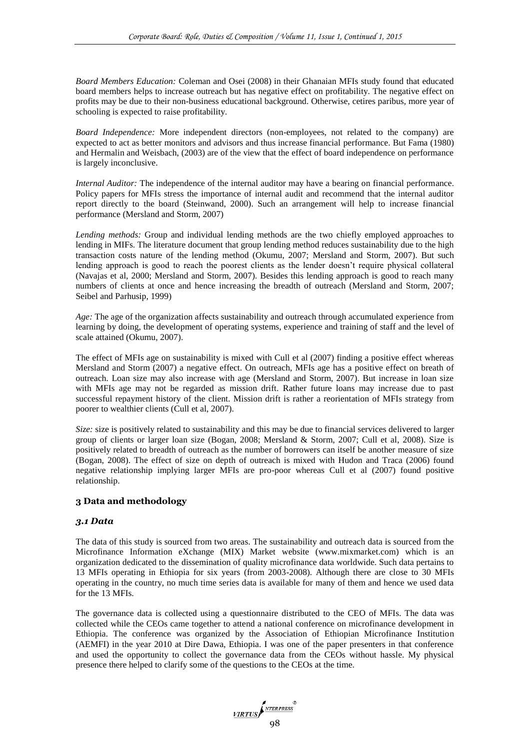*Board Members Education:* Coleman and Osei (2008) in their Ghanaian MFIs study found that educated board members helps to increase outreach but has negative effect on profitability. The negative effect on profits may be due to their non-business educational background. Otherwise, cetires paribus, more year of schooling is expected to raise profitability.

*Board Independence:* More independent directors (non-employees, not related to the company) are expected to act as better monitors and advisors and thus increase financial performance. But Fama (1980) and Hermalin and Weisbach, (2003) are of the view that the effect of board independence on performance is largely inconclusive.

*Internal Auditor:* The independence of the internal auditor may have a bearing on financial performance. Policy papers for MFIs stress the importance of internal audit and recommend that the internal auditor report directly to the board (Steinwand, 2000). Such an arrangement will help to increase financial performance (Mersland and Storm, 2007)

*Lending methods:* Group and individual lending methods are the two chiefly employed approaches to lending in MIFs. The literature document that group lending method reduces sustainability due to the high transaction costs nature of the lending method (Okumu, 2007; Mersland and Storm, 2007). But such lending approach is good to reach the poorest clients as the lender doesn't require physical collateral (Navajas et al, 2000; Mersland and Storm, 2007). Besides this lending approach is good to reach many numbers of clients at once and hence increasing the breadth of outreach (Mersland and Storm, 2007; Seibel and Parhusip, 1999)

*Age:* The age of the organization affects sustainability and outreach through accumulated experience from learning by doing, the development of operating systems, experience and training of staff and the level of scale attained (Okumu, 2007).

The effect of MFIs age on sustainability is mixed with Cull et al (2007) finding a positive effect whereas Mersland and Storm (2007) a negative effect. On outreach, MFIs age has a positive effect on breath of outreach. Loan size may also increase with age (Mersland and Storm, 2007). But increase in loan size with MFIs age may not be regarded as mission drift. Rather future loans may increase due to past successful repayment history of the client. Mission drift is rather a reorientation of MFIs strategy from poorer to wealthier clients (Cull et al, 2007).

*Size:* size is positively related to sustainability and this may be due to financial services delivered to larger group of clients or larger loan size (Bogan, 2008; Mersland & Storm, 2007; Cull et al, 2008). Size is positively related to breadth of outreach as the number of borrowers can itself be another measure of size (Bogan, 2008). The effect of size on depth of outreach is mixed with Hudon and Traca (2006) found negative relationship implying larger MFIs are pro-poor whereas Cull et al (2007) found positive relationship.

# **3 Data and methodology**

# *3.1 Data*

The data of this study is sourced from two areas. The sustainability and outreach data is sourced from the Microfinance Information eXchange (MIX) Market website (www.mixmarket.com) which is an organization dedicated to the dissemination of quality microfinance data worldwide. Such data pertains to 13 MFIs operating in Ethiopia for six years (from 2003-2008). Although there are close to 30 MFIs operating in the country, no much time series data is available for many of them and hence we used data for the 13 MFIs.

The governance data is collected using a questionnaire distributed to the CEO of MFIs. The data was collected while the CEOs came together to attend a national conference on microfinance development in Ethiopia. The conference was organized by the Association of Ethiopian Microfinance Institution (AEMFI) in the year 2010 at Dire Dawa, Ethiopia. I was one of the paper presenters in that conference and used the opportunity to collect the governance data from the CEOs without hassle. My physical presence there helped to clarify some of the questions to the CEOs at the time.

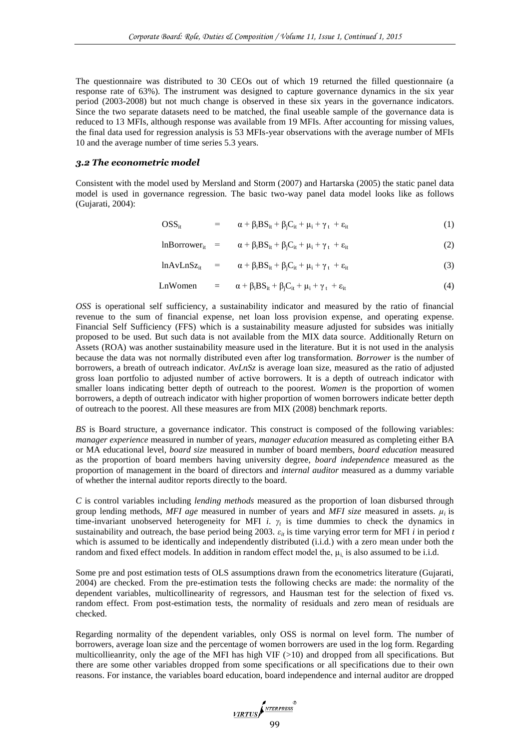The questionnaire was distributed to 30 CEOs out of which 19 returned the filled questionnaire (a response rate of 63%). The instrument was designed to capture governance dynamics in the six year period (2003-2008) but not much change is observed in these six years in the governance indicators. Since the two separate datasets need to be matched, the final useable sample of the governance data is reduced to 13 MFIs, although response was available from 19 MFIs. After accounting for missing values, the final data used for regression analysis is 53 MFIs-year observations with the average number of MFIs 10 and the average number of time series 5.3 years.

#### *3.2 The econometric model*

Consistent with the model used by Mersland and Storm (2007) and Hartarska (2005) the static panel data model is used in governance regression. The basic two-way panel data model looks like as follows (Gujarati, 2004):

$$
OSS_{it} = \alpha + \beta_i BS_{it} + \beta_j C_{it} + \mu_i + \gamma_t + \varepsilon_{it}
$$
 (1)

$$
InBorrower_{it} = \alpha + \beta_i BS_{it} + \beta_j C_{it} + \mu_i + \gamma_t + \varepsilon_{it}
$$
 (2)

$$
lnAvLnSz_{it} = \alpha + \beta_i BS_{it} + \beta_j C_{it} + \mu_i + \gamma_t + \varepsilon_{it}
$$
 (3)

$$
LnWomen = \alpha + \beta_i BS_{it} + \beta_j C_{it} + \mu_i + \gamma_t + \varepsilon_{it}
$$
\n(4)

*OSS* is operational self sufficiency, a sustainability indicator and measured by the ratio of financial revenue to the sum of financial expense, net loan loss provision expense, and operating expense. Financial Self Sufficiency (FFS) which is a sustainability measure adjusted for subsides was initially proposed to be used. But such data is not available from the MIX data source. Additionally Return on Assets (ROA) was another sustainability measure used in the literature. But it is not used in the analysis because the data was not normally distributed even after log transformation. *Borrower* is the number of borrowers, a breath of outreach indicator. *AvLnSz* is average loan size, measured as the ratio of adjusted gross loan portfolio to adjusted number of active borrowers. It is a depth of outreach indicator with smaller loans indicating better depth of outreach to the poorest. *Women* is the proportion of women borrowers, a depth of outreach indicator with higher proportion of women borrowers indicate better depth of outreach to the poorest. All these measures are from MIX (2008) benchmark reports.

*BS* is Board structure, a governance indicator. This construct is composed of the following variables: *manager experience* measured in number of years, *manager education* measured as completing either BA or MA educational level, *board size* measured in number of board members, *board education* measured as the proportion of board members having university degree, *board independence* measured as the proportion of management in the board of directors and *internal auditor* measured as a dummy variable of whether the internal auditor reports directly to the board.

*C* is control variables including *lending methods* measured as the proportion of loan disbursed through group lending methods, *MFI age* measured in number of years and *MFI size* measured in assets.  $\mu_i$  is time-invariant unobserved heterogeneity for MFI *i*.  $\gamma_t$  is time dummies to check the dynamics in sustainability and outreach, the base period being 2003.  $\varepsilon_{ii}$  is time varying error term for MFI *i* in period *t* which is assumed to be identically and independently distributed (i.j.d.) with a zero mean under both the random and fixed effect models. In addition in random effect model the,  $\mu_i$  is also assumed to be i.i.d.

Some pre and post estimation tests of OLS assumptions drawn from the econometrics literature (Gujarati, 2004) are checked. From the pre-estimation tests the following checks are made: the normality of the dependent variables, multicollinearity of regressors, and Hausman test for the selection of fixed vs. random effect. From post-estimation tests, the normality of residuals and zero mean of residuals are checked.

Regarding normality of the dependent variables, only OSS is normal on level form. The number of borrowers, average loan size and the percentage of women borrowers are used in the log form. Regarding multicollieanrity, only the age of the MFI has high VIF  $(>10)$  and dropped from all specifications. But there are some other variables dropped from some specifications or all specifications due to their own reasons. For instance, the variables board education, board independence and internal auditor are dropped

$$
\underbrace{\text{VRTUS}}_{\text{0.2}}
$$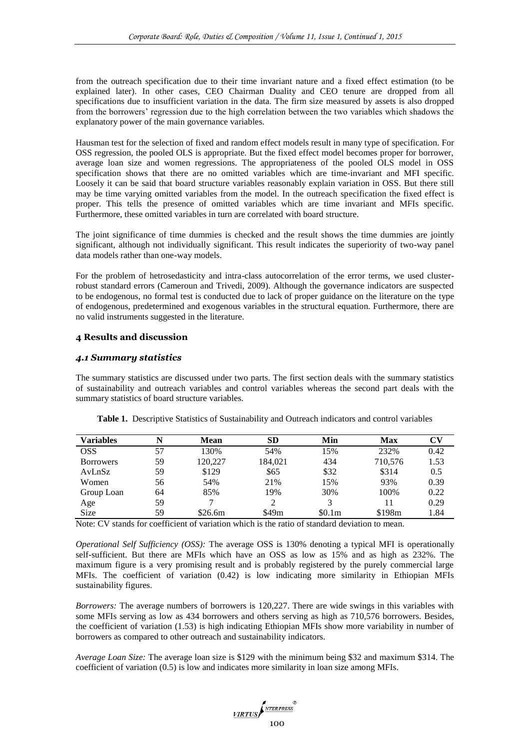from the outreach specification due to their time invariant nature and a fixed effect estimation (to be explained later). In other cases, CEO Chairman Duality and CEO tenure are dropped from all specifications due to insufficient variation in the data. The firm size measured by assets is also dropped from the borrowers' regression due to the high correlation between the two variables which shadows the explanatory power of the main governance variables.

Hausman test for the selection of fixed and random effect models result in many type of specification. For OSS regression, the pooled OLS is appropriate. But the fixed effect model becomes proper for borrower, average loan size and women regressions. The appropriateness of the pooled OLS model in OSS specification shows that there are no omitted variables which are time-invariant and MFI specific. Loosely it can be said that board structure variables reasonably explain variation in OSS. But there still may be time varying omitted variables from the model. In the outreach specification the fixed effect is proper. This tells the presence of omitted variables which are time invariant and MFIs specific. Furthermore, these omitted variables in turn are correlated with board structure.

The joint significance of time dummies is checked and the result shows the time dummies are jointly significant, although not individually significant. This result indicates the superiority of two-way panel data models rather than one-way models.

For the problem of hetrosedasticity and intra-class autocorrelation of the error terms, we used clusterrobust standard errors (Cameroun and Trivedi, 2009). Although the governance indicators are suspected to be endogenous, no formal test is conducted due to lack of proper guidance on the literature on the type of endogenous, predetermined and exogenous variables in the structural equation. Furthermore, there are no valid instruments suggested in the literature.

# **4 Results and discussion**

#### *4.1 Summary statistics*

The summary statistics are discussed under two parts. The first section deals with the summary statistics of sustainability and outreach variables and control variables whereas the second part deals with the summary statistics of board structure variables.

| <b>Variables</b> | N  | Mean    | SD<br>Min |        | Max     | CV   |  |
|------------------|----|---------|-----------|--------|---------|------|--|
| <b>OSS</b>       | 57 | 130%    | 54%       | 15%    | 232%    | 0.42 |  |
| <b>Borrowers</b> | 59 | 120.227 | 184.021   | 434    | 710,576 | 1.53 |  |
| AvLnSz           | 59 | \$129   | \$65      | \$32   | \$314   | 0.5  |  |
| Women            | 56 | 54%     | 21\%      | 15%    | 93%     | 0.39 |  |
| Group Loan       | 64 | 85%     | 19%       | 30%    | 100%    | 0.22 |  |
| Age              | 59 |         |           | 3      | 11      | 0.29 |  |
| <b>Size</b>      | 59 | \$26.6m | \$49m     | \$0.1m | \$198m  | 1.84 |  |

**Table 1.** Descriptive Statistics of Sustainability and Outreach indicators and control variables

Note: CV stands for coefficient of variation which is the ratio of standard deviation to mean.

*Operational Self Sufficiency (OSS):* The average OSS is 130% denoting a typical MFI is operationally self-sufficient. But there are MFIs which have an OSS as low as 15% and as high as 232%. The maximum figure is a very promising result and is probably registered by the purely commercial large MFIs. The coefficient of variation (0.42) is low indicating more similarity in Ethiopian MFIs sustainability figures.

*Borrowers:* The average numbers of borrowers is 120,227. There are wide swings in this variables with some MFIs serving as low as 434 borrowers and others serving as high as 710,576 borrowers. Besides, the coefficient of variation (1.53) is high indicating Ethiopian MFIs show more variability in number of borrowers as compared to other outreach and sustainability indicators.

*Average Loan Size:* The average loan size is \$129 with the minimum being \$32 and maximum \$314. The coefficient of variation (0.5) is low and indicates more similarity in loan size among MFIs.

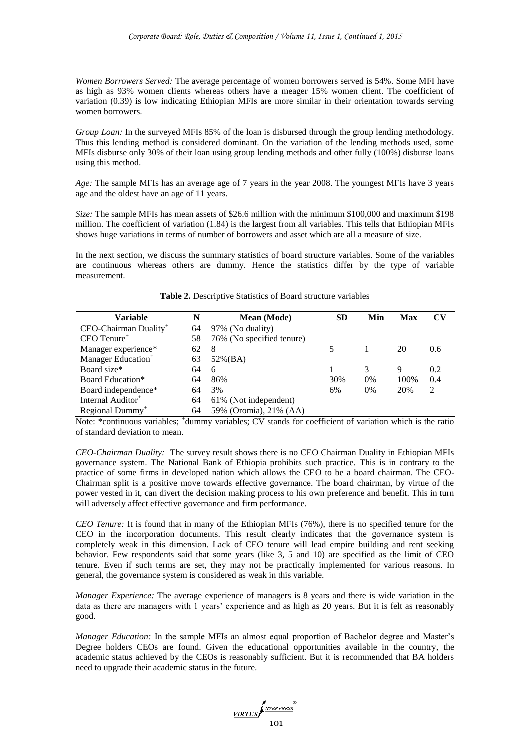*Women Borrowers Served:* The average percentage of women borrowers served is 54%. Some MFI have as high as 93% women clients whereas others have a meager 15% women client. The coefficient of variation (0.39) is low indicating Ethiopian MFIs are more similar in their orientation towards serving women borrowers.

*Group Loan:* In the surveyed MFIs 85% of the loan is disbursed through the group lending methodology. Thus this lending method is considered dominant. On the variation of the lending methods used, some MFIs disburse only 30% of their loan using group lending methods and other fully (100%) disburse loans using this method.

*Age:* The sample MFIs has an average age of 7 years in the year 2008. The youngest MFIs have 3 years age and the oldest have an age of 11 years.

*Size:* The sample MFIs has mean assets of \$26.6 million with the minimum \$100,000 and maximum \$198 million. The coefficient of variation (1.84) is the largest from all variables. This tells that Ethiopian MFIs shows huge variations in terms of number of borrowers and asset which are all a measure of size.

In the next section, we discuss the summary statistics of board structure variables. Some of the variables are continuous whereas others are dummy. Hence the statistics differ by the type of variable measurement.

| <b>Variable</b>                   |    | <b>Mean</b> (Mode)        | <b>SD</b> | Min  | Max | $\mathbf{C}\mathbf{V}$ |
|-----------------------------------|----|---------------------------|-----------|------|-----|------------------------|
| CEO-Chairman Duality <sup>+</sup> |    | 97% (No duality)          |           |      |     |                        |
| $CEO$ Tenure <sup>+</sup>         | 58 | 76% (No specified tenure) |           |      |     |                        |
| Manager experience*<br>62<br>8    |    |                           | 5         |      | 20  | 0.6                    |
| Manager Education <sup>+</sup>    | 63 | $52\%(BA)$                |           |      |     |                        |
| Board size*<br>64<br>6            |    |                           |           | 3    | 9   | 0.2                    |
| Board Education*<br>64<br>86%     |    | 30%                       | 0%        | 100% | 0.4 |                        |
| Board independence*<br>3%<br>64   |    |                           | 6%        | 0%   | 20% | 2                      |
| Internal Auditor <sup>+</sup>     | 64 | 61% (Not independent)     |           |      |     |                        |
| Regional Dummy <sup>+</sup>       | 64 | 59% (Oromia), 21% (AA)    |           |      |     |                        |

**Table 2.** Descriptive Statistics of Board structure variables

Note: \*continuous variables; <sup>+</sup>dummy variables; CV stands for coefficient of variation which is the ratio of standard deviation to mean.

*CEO-Chairman Duality:*The survey result shows there is no CEO Chairman Duality in Ethiopian MFIs governance system. The National Bank of Ethiopia prohibits such practice. This is in contrary to the practice of some firms in developed nation which allows the CEO to be a board chairman. The CEO-Chairman split is a positive move towards effective governance. The board chairman, by virtue of the power vested in it, can divert the decision making process to his own preference and benefit. This in turn will adversely affect effective governance and firm performance.

*CEO Tenure:* It is found that in many of the Ethiopian MFIs (76%), there is no specified tenure for the CEO in the incorporation documents. This result clearly indicates that the governance system is completely weak in this dimension. Lack of CEO tenure will lead empire building and rent seeking behavior. Few respondents said that some years (like 3, 5 and 10) are specified as the limit of CEO tenure. Even if such terms are set, they may not be practically implemented for various reasons. In general, the governance system is considered as weak in this variable.

*Manager Experience:* The average experience of managers is 8 years and there is wide variation in the data as there are managers with 1 years' experience and as high as 20 years. But it is felt as reasonably good.

*Manager Education:* In the sample MFIs an almost equal proportion of Bachelor degree and Master's Degree holders CEOs are found. Given the educational opportunities available in the country, the academic status achieved by the CEOs is reasonably sufficient. But it is recommended that BA holders need to upgrade their academic status in the future.

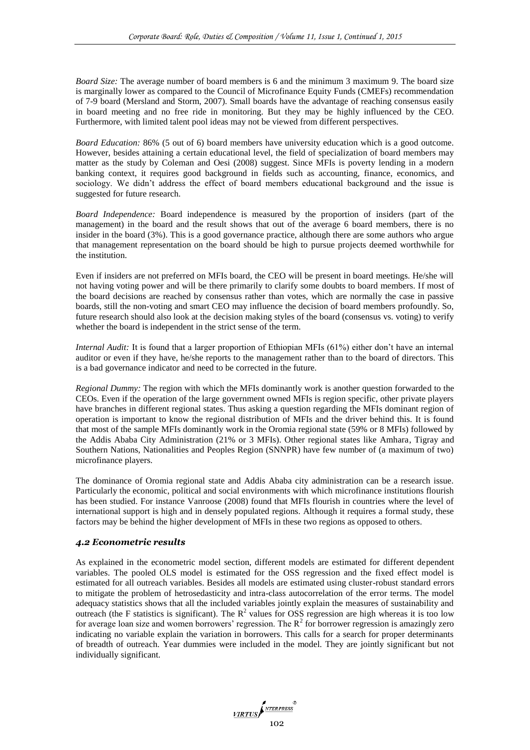*Board Size:* The average number of board members is 6 and the minimum 3 maximum 9. The board size is marginally lower as compared to the Council of Microfinance Equity Funds (CMEFs) recommendation of 7-9 board (Mersland and Storm, 2007). Small boards have the advantage of reaching consensus easily in board meeting and no free ride in monitoring. But they may be highly influenced by the CEO. Furthermore, with limited talent pool ideas may not be viewed from different perspectives.

*Board Education:* 86% (5 out of 6) board members have university education which is a good outcome. However, besides attaining a certain educational level, the field of specialization of board members may matter as the study by Coleman and Oesi (2008) suggest. Since MFIs is poverty lending in a modern banking context, it requires good background in fields such as accounting, finance, economics, and sociology. We didn't address the effect of board members educational background and the issue is suggested for future research.

*Board Independence:* Board independence is measured by the proportion of insiders (part of the management) in the board and the result shows that out of the average 6 board members, there is no insider in the board (3%). This is a good governance practice, although there are some authors who argue that management representation on the board should be high to pursue projects deemed worthwhile for the institution.

Even if insiders are not preferred on MFIs board, the CEO will be present in board meetings. He/she will not having voting power and will be there primarily to clarify some doubts to board members. If most of the board decisions are reached by consensus rather than votes, which are normally the case in passive boards, still the non-voting and smart CEO may influence the decision of board members profoundly. So, future research should also look at the decision making styles of the board (consensus vs. voting) to verify whether the board is independent in the strict sense of the term.

*Internal Audit:* It is found that a larger proportion of Ethiopian MFIs (61%) either don't have an internal auditor or even if they have, he/she reports to the management rather than to the board of directors. This is a bad governance indicator and need to be corrected in the future.

*Regional Dummy:* The region with which the MFIs dominantly work is another question forwarded to the CEOs. Even if the operation of the large government owned MFIs is region specific, other private players have branches in different regional states. Thus asking a question regarding the MFIs dominant region of operation is important to know the regional distribution of MFIs and the driver behind this. It is found that most of the sample MFIs dominantly work in the Oromia regional state (59% or 8 MFIs) followed by the Addis Ababa City Administration (21% or 3 MFIs). Other regional states like Amhara, Tigray and Southern Nations, Nationalities and Peoples Region (SNNPR) have few number of (a maximum of two) microfinance players.

The dominance of Oromia regional state and Addis Ababa city administration can be a research issue. Particularly the economic, political and social environments with which microfinance institutions flourish has been studied. For instance Vanroose (2008) found that MFIs flourish in countries where the level of international support is high and in densely populated regions. Although it requires a formal study, these factors may be behind the higher development of MFIs in these two regions as opposed to others.

# *4.2 Econometric results*

As explained in the econometric model section, different models are estimated for different dependent variables. The pooled OLS model is estimated for the OSS regression and the fixed effect model is estimated for all outreach variables. Besides all models are estimated using cluster-robust standard errors to mitigate the problem of hetrosedasticity and intra-class autocorrelation of the error terms. The model adequacy statistics shows that all the included variables jointly explain the measures of sustainability and outreach (the F statistics is significant). The  $R^2$  values for OSS regression are high whereas it is too low for average loan size and women borrowers' regression. The  $R<sup>2</sup>$  for borrower regression is amazingly zero indicating no variable explain the variation in borrowers. This calls for a search for proper determinants of breadth of outreach. Year dummies were included in the model. They are jointly significant but not individually significant.

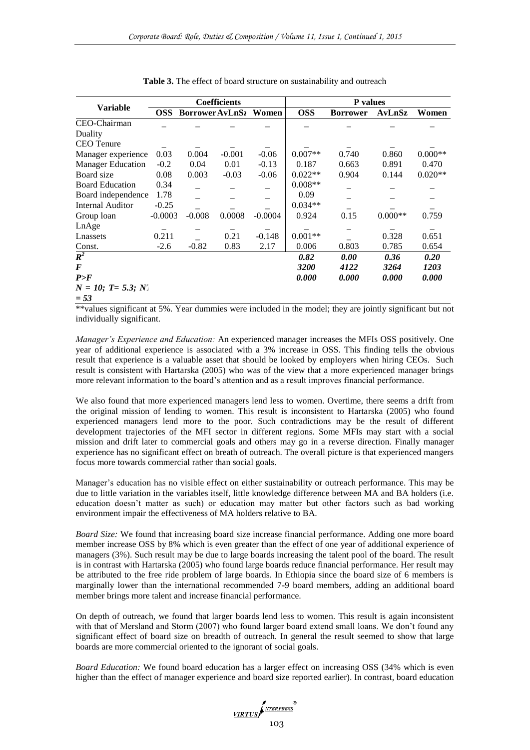|                                   | <b>Coefficients</b> |                        |          |           | <b>P</b> values |                 |           |           |
|-----------------------------------|---------------------|------------------------|----------|-----------|-----------------|-----------------|-----------|-----------|
| <b>Variable</b>                   | <b>OSS</b>          | <b>Borrower AvLnS2</b> |          | Women     | <b>OSS</b>      | <b>Borrower</b> | AvLnSz    | Women     |
| CEO-Chairman                      |                     |                        |          |           |                 |                 |           |           |
| Duality                           |                     |                        |          |           |                 |                 |           |           |
| <b>CEO</b> Tenure                 |                     |                        |          |           |                 |                 |           |           |
| Manager experience                | 0.03                | 0.004                  | $-0.001$ | $-0.06$   | $0.007**$       | 0.740           | 0.860     | $0.000**$ |
| <b>Manager Education</b>          | $-0.2$              | 0.04                   | 0.01     | $-0.13$   | 0.187           | 0.663           | 0.891     | 0.470     |
| Board size                        | 0.08                | 0.003                  | $-0.03$  | $-0.06$   | $0.022**$       | 0.904           | 0.144     | $0.020**$ |
| <b>Board Education</b>            | 0.34                |                        |          |           | $0.008**$       |                 |           |           |
| Board independence                | 1.78                |                        |          |           | 0.09            |                 |           |           |
| Internal Auditor                  | $-0.25$             |                        |          |           | $0.034**$       |                 |           |           |
| Group loan                        | $-0.0003$           | $-0.008$               | 0.0008   | $-0.0004$ | 0.924           | 0.15            | $0.000**$ | 0.759     |
| LnAge                             |                     |                        |          |           |                 |                 |           |           |
| Lnassets                          | 0.211               |                        | 0.21     | $-0.148$  | $0.001**$       |                 | 0.328     | 0.651     |
| Const.                            | $-2.6$              | $-0.82$                | 0.83     | 2.17      | 0.006           | 0.803           | 0.785     | 0.654     |
| $\overline{R^2}$                  |                     |                        |          |           | 0.82            | 0.00            | 0.36      | 0.20      |
| F                                 |                     |                        |          |           | 3200            | 4122            | 3264      | 1203      |
| P>F                               |                     |                        |          |           | 0.000           | 0.000           | 0.000     | 0.000     |
| $N = 10$ ; T= 5.3; N <sub>1</sub> |                     |                        |          |           |                 |                 |           |           |
| $= 53$                            |                     |                        |          |           |                 |                 |           |           |

**Table 3.** The effect of board structure on sustainability and outreach

\*\*values significant at 5%. Year dummies were included in the model; they are jointly significant but not individually significant.

*Manager's Experience and Education:* An experienced manager increases the MFIs OSS positively. One year of additional experience is associated with a 3% increase in OSS. This finding tells the obvious result that experience is a valuable asset that should be looked by employers when hiring CEOs. Such result is consistent with Hartarska (2005) who was of the view that a more experienced manager brings more relevant information to the board's attention and as a result improves financial performance.

We also found that more experienced managers lend less to women. Overtime, there seems a drift from the original mission of lending to women. This result is inconsistent to Hartarska (2005) who found experienced managers lend more to the poor. Such contradictions may be the result of different development trajectories of the MFI sector in different regions. Some MFIs may start with a social mission and drift later to commercial goals and others may go in a reverse direction. Finally manager experience has no significant effect on breath of outreach. The overall picture is that experienced mangers focus more towards commercial rather than social goals.

Manager's education has no visible effect on either sustainability or outreach performance. This may be due to little variation in the variables itself, little knowledge difference between MA and BA holders (i.e. education doesn't matter as such) or education may matter but other factors such as bad working environment impair the effectiveness of MA holders relative to BA.

*Board Size:* We found that increasing board size increase financial performance. Adding one more board member increase OSS by 8% which is even greater than the effect of one year of additional experience of managers (3%). Such result may be due to large boards increasing the talent pool of the board. The result is in contrast with Hartarska (2005) who found large boards reduce financial performance. Her result may be attributed to the free ride problem of large boards. In Ethiopia since the board size of 6 members is marginally lower than the international recommended 7-9 board members, adding an additional board member brings more talent and increase financial performance.

On depth of outreach, we found that larger boards lend less to women. This result is again inconsistent with that of Mersland and Storm (2007) who found larger board extend small loans. We don't found any significant effect of board size on breadth of outreach. In general the result seemed to show that large boards are more commercial oriented to the ignorant of social goals.

*Board Education:* We found board education has a larger effect on increasing OSS (34% which is even higher than the effect of manager experience and board size reported earlier). In contrast, board education

 $\frac{\text{VIRTUS}}{\text{103}}$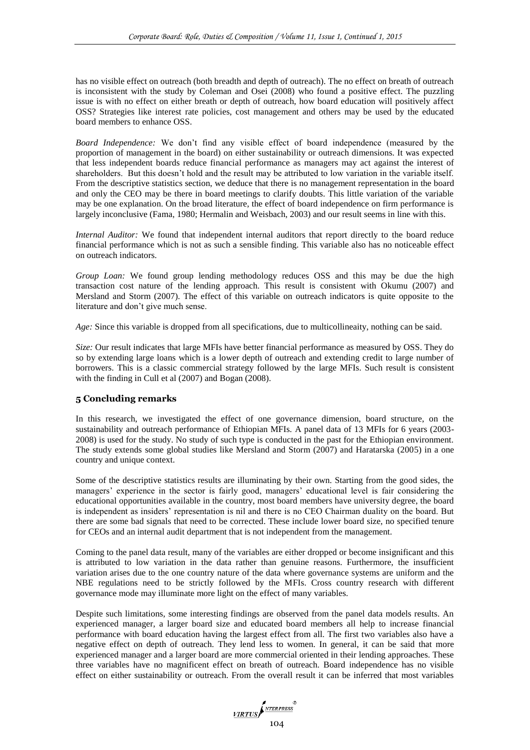has no visible effect on outreach (both breadth and depth of outreach). The no effect on breath of outreach is inconsistent with the study by Coleman and Osei (2008) who found a positive effect. The puzzling issue is with no effect on either breath or depth of outreach, how board education will positively affect OSS? Strategies like interest rate policies, cost management and others may be used by the educated board members to enhance OSS.

*Board Independence:* We don't find any visible effect of board independence (measured by the proportion of management in the board) on either sustainability or outreach dimensions. It was expected that less independent boards reduce financial performance as managers may act against the interest of shareholders. But this doesn't hold and the result may be attributed to low variation in the variable itself. From the descriptive statistics section, we deduce that there is no management representation in the board and only the CEO may be there in board meetings to clarify doubts. This little variation of the variable may be one explanation. On the broad literature, the effect of board independence on firm performance is largely inconclusive (Fama, 1980; Hermalin and Weisbach, 2003) and our result seems in line with this.

*Internal Auditor:* We found that independent internal auditors that report directly to the board reduce financial performance which is not as such a sensible finding. This variable also has no noticeable effect on outreach indicators.

*Group Loan:* We found group lending methodology reduces OSS and this may be due the high transaction cost nature of the lending approach. This result is consistent with Okumu (2007) and Mersland and Storm (2007). The effect of this variable on outreach indicators is quite opposite to the literature and don't give much sense.

*Age:* Since this variable is dropped from all specifications, due to multicollineaity, nothing can be said.

*Size:* Our result indicates that large MFIs have better financial performance as measured by OSS. They do so by extending large loans which is a lower depth of outreach and extending credit to large number of borrowers. This is a classic commercial strategy followed by the large MFIs. Such result is consistent with the finding in Cull et al (2007) and Bogan (2008).

# **5 Concluding remarks**

In this research, we investigated the effect of one governance dimension, board structure, on the sustainability and outreach performance of Ethiopian MFIs. A panel data of 13 MFIs for 6 years (2003- 2008) is used for the study. No study of such type is conducted in the past for the Ethiopian environment. The study extends some global studies like Mersland and Storm (2007) and Haratarska (2005) in a one country and unique context.

Some of the descriptive statistics results are illuminating by their own. Starting from the good sides, the managers' experience in the sector is fairly good, managers' educational level is fair considering the educational opportunities available in the country, most board members have university degree, the board is independent as insiders' representation is nil and there is no CEO Chairman duality on the board. But there are some bad signals that need to be corrected. These include lower board size, no specified tenure for CEOs and an internal audit department that is not independent from the management.

Coming to the panel data result, many of the variables are either dropped or become insignificant and this is attributed to low variation in the data rather than genuine reasons. Furthermore, the insufficient variation arises due to the one country nature of the data where governance systems are uniform and the NBE regulations need to be strictly followed by the MFIs. Cross country research with different governance mode may illuminate more light on the effect of many variables.

Despite such limitations, some interesting findings are observed from the panel data models results. An experienced manager, a larger board size and educated board members all help to increase financial performance with board education having the largest effect from all. The first two variables also have a negative effect on depth of outreach. They lend less to women. In general, it can be said that more experienced manager and a larger board are more commercial oriented in their lending approaches. These three variables have no magnificent effect on breath of outreach. Board independence has no visible effect on either sustainability or outreach. From the overall result it can be inferred that most variables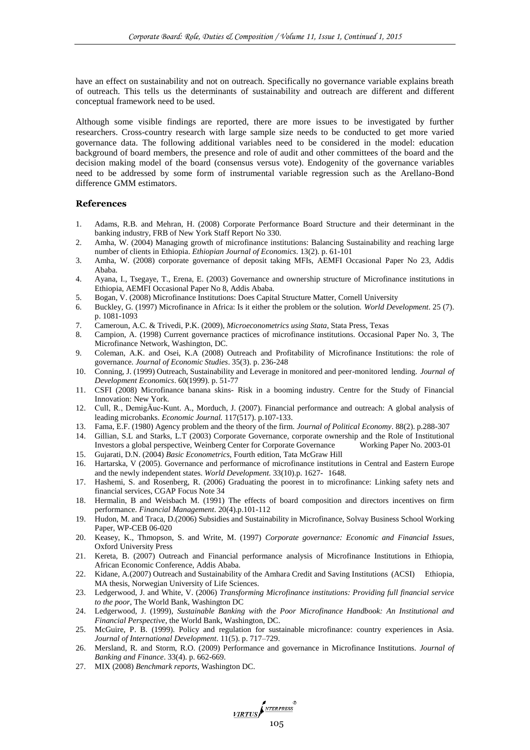have an effect on sustainability and not on outreach. Specifically no governance variable explains breath of outreach. This tells us the determinants of sustainability and outreach are different and different conceptual framework need to be used.

Although some visible findings are reported, there are more issues to be investigated by further researchers. Cross-country research with large sample size needs to be conducted to get more varied governance data. The following additional variables need to be considered in the model: education background of board members, the presence and role of audit and other committees of the board and the decision making model of the board (consensus versus vote). Endogenity of the governance variables need to be addressed by some form of instrumental variable regression such as the Arellano-Bond difference GMM estimators.

# **References**

- 1. Adams, R.B. and Mehran, H. (2008) Corporate Performance Board Structure and their determinant in the banking industry, FRB of New York Staff Report No 330.
- 2. Amha, W. (2004) Managing growth of microfinance institutions: Balancing Sustainability and reaching large number of clients in Ethiopia. *Ethiopian Journal of Economics*. 13(2). p. 61-101
- 3. Amha, W. (2008) corporate governance of deposit taking MFIs, AEMFI Occasional Paper No 23, Addis Ababa.
- 4. Ayana, I., Tsegaye, T., Erena, E. (2003) Governance and ownership structure of Microfinance institutions in Ethiopia, AEMFI Occasional Paper No 8, Addis Ababa.
- 5. Bogan, V. (2008) Microfinance Institutions: Does Capital Structure Matter, Cornell University
- 6. Buckley, G. (1997) Microfinance in Africa: Is it either the problem or the solution. *World Development*. 25 (7). p. 1081-1093
- 7. Cameroun, A.C. & Trivedi, P.K. (2009), *Microeconometrics using Stata*, Stata Press, Texas
- 8. Campion, A. (1998) Current governance practices of microfinance institutions. Occasional Paper No. 3, The Microfinance Network, Washington, DC.
- 9. Coleman, A.K. and Osei, K.A (2008) Outreach and Profitability of Microfinance Institutions: the role of governance. *Journal of Economic Studies*. 35(3). p. 236-248
- 10. Conning, J. (1999) Outreach, Sustainability and Leverage in monitored and peer-monitored lending. *Journal of Development Economics*. 60(1999). p. 51-77
- 11. CSFI (2008) Microfinance banana skins- Risk in a booming industry. Centre for the Study of Financial Innovation: New York.
- 12. Cull, R., DemigÄuc-Kunt. A., Morduch, J. (2007). Financial performance and outreach: A global analysis of leading microbanks. *Economic Journal.* 117(517). p.107-133.
- 13. Fama, E.F. (1980) Agency problem and the theory of the firm. *Journal of Political Economy*. 88(2). p.288-307
- 14. Gillian, S.L and Starks, L.T (2003) Corporate Governance, corporate ownership and the Role of Institutional Investors a global perspective, Weinberg Center for Corporate Governance Working Paper No. 2003-01
- 15. Gujarati, D.N. (2004) *Basic Econometrics*, Fourth edition, Tata McGraw Hill
- 16. Hartarska, V (2005). Governance and performance of microfinance institutions in Central and Eastern Europe and the newly independent states. *World Development*. 33(10).p. 1627- 1648.
- 17. Hashemi, S. and Rosenberg, R. (2006) Graduating the poorest in to microfinance: Linking safety nets and financial services, CGAP Focus Note 34
- 18. Hermalin, B and Weisbach M. (1991) The effects of board composition and directors incentives on firm performance. *Financial Management*. 20(4).p.101-112
- 19. Hudon, M. and Traca, D.(2006) Subsidies and Sustainability in Microfinance, Solvay Business School Working Paper, WP-CEB 06-020
- 20. Keasey, K., Thmopson, S. and Write, M. (1997) *Corporate governance: Economic and Financial Issues*, Oxford University Press
- 21. Kereta, B. (2007) Outreach and Financial performance analysis of Microfinance Institutions in Ethiopia, African Economic Conference, Addis Ababa.
- 22. Kidane, A.(2007) Outreach and Sustainability of the Amhara Credit and Saving Institutions (ACSI) Ethiopia, MA thesis, Norwegian University of Life Sciences.
- 23. Ledgerwood, J. and White, V. (2006) *Transforming Microfinance institutions: Providing full financial service to the poor*, The World Bank, Washington DC
- 24. Ledgerwood, J. (1999), *Sustainable Banking with the Poor Microfinance Handbook: An Institutional and Financial Perspective*, the World Bank, Washington, DC.
- 25. McGuire, P. B. (1999). Policy and regulation for sustainable microfinance: country experiences in Asia. *Journal of International Development*. 11(5). p. 717–729.
- 26. Mersland, R. and Storm, R.O. (2009) Performance and governance in Microfinance Institutions. *Journal of Banking and Finance*. 33(4). p. 662-669.
- 27. MIX (2008) *Benchmark reports*, Washington DC.